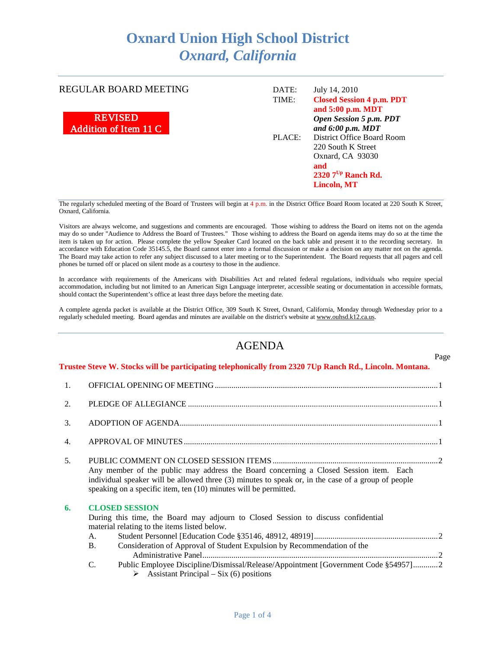## **Oxnard Union High School District** *Oxnard, California*

REGULAR BOARD MEETING



| DATE:  | July 14, 2010                    |
|--------|----------------------------------|
| TIME:  | <b>Closed Session 4 p.m. PDT</b> |
|        | and 5:00 p.m. MDT                |
|        | Open Session 5 p.m. PDT          |
|        | and $6:00$ p.m. MDT              |
| PLACE: | District Office Board Room       |
|        | 220 South K Street               |
|        | Oxnard, CA 93030                 |
|        | and                              |
|        | 2320 $7^{Up}$ Ranch Rd.          |
|        | <b>Lincoln, MT</b>               |

Page

The regularly scheduled meeting of the Board of Trustees will begin at 4 p.m. in the District Office Board Room located at 220 South K Street, Oxnard, California.

Visitors are always welcome, and suggestions and comments are encouraged. Those wishing to address the Board on items not on the agenda may do so under "Audience to Address the Board of Trustees." Those wishing to address the Board on agenda items may do so at the time the item is taken up for action. Please complete the yellow Speaker Card located on the back table and present it to the recording secretary. In accordance with Education Code 35145.5, the Board cannot enter into a formal discussion or make a decision on any matter not on the agenda. The Board may take action to refer any subject discussed to a later meeting or to the Superintendent. The Board requests that all pagers and cell phones be turned off or placed on silent mode as a courtesy to those in the audience.

In accordance with requirements of the Americans with Disabilities Act and related federal regulations, individuals who require special accommodation, including but not limited to an American Sign Language interpreter, accessible seating or documentation in accessible formats, should contact the Superintendent's office at least three days before the meeting date.

A complete agenda packet is available at the District Office, 309 South K Street, Oxnard, California, Monday through Wednesday prior to a regularly scheduled meeting. Board agendas and minutes are available on the district's website a[t www.ouhsd.k12.ca.us.](http://www.ouhsd.k12.ca.us/)

## AGENDA

**Trustee Steve W. Stocks will be participating telephonically from 2320 7Up Ranch Rd., Lincoln. Montana.**

| 1.               |                                                                                                                                                                                                                                                                                                                                                                                                                  |  |  |
|------------------|------------------------------------------------------------------------------------------------------------------------------------------------------------------------------------------------------------------------------------------------------------------------------------------------------------------------------------------------------------------------------------------------------------------|--|--|
| 2.               |                                                                                                                                                                                                                                                                                                                                                                                                                  |  |  |
| 3.               |                                                                                                                                                                                                                                                                                                                                                                                                                  |  |  |
| $\overline{4}$ . |                                                                                                                                                                                                                                                                                                                                                                                                                  |  |  |
| 5 <sub>1</sub>   | Any member of the public may address the Board concerning a Closed Session item. Each<br>individual speaker will be allowed three (3) minutes to speak or, in the case of a group of people<br>speaking on a specific item, ten (10) minutes will be permitted.                                                                                                                                                  |  |  |
| 6.               | <b>CLOSED SESSION</b><br>During this time, the Board may adjourn to Closed Session to discuss confidential<br>material relating to the items listed below.<br>A.<br><b>B.</b><br>Consideration of Approval of Student Expulsion by Recommendation of the<br>C.<br>Public Employee Discipline/Dismissal/Release/Appointment [Government Code §54957]2<br>$\triangleright$ Assistant Principal – Six (6) positions |  |  |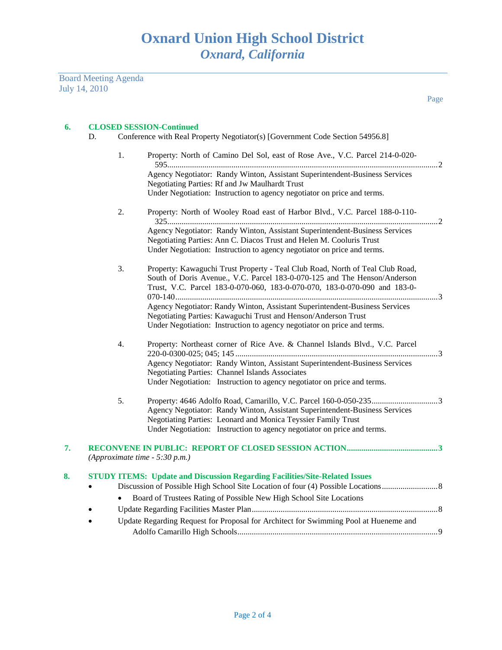Board Meeting Agenda July 14, 2010

Page

## **6. CLOSED SESSION-Continued**

- 1. Property: North of Camino Del Sol, east of Rose Ave., V.C. Parcel 214-0-020- 595...................................................................................................................................2 Agency Negotiator: Randy Winton, Assistant Superintendent-Business Services Negotiating Parties: Rf and Jw Maulhardt Trust Under Negotiation: Instruction to agency negotiator on price and terms.
- 2. Property: North of Wooley Road east of Harbor Blvd., V.C. Parcel 188-0-110- 325...................................................................................................................................2 Agency Negotiator: Randy Winton, Assistant Superintendent-Business Services Negotiating Parties: Ann C. Diacos Trust and Helen M. Cooluris Trust Under Negotiation: Instruction to agency negotiator on price and terms.
- 3. Property: Kawaguchi Trust Property Teal Club Road, North of Teal Club Road, South of Doris Avenue., V.C. Parcel 183-0-070-125 and The Henson/Anderson Trust, V.C. Parcel 183-0-070-060, 183-0-070-070, 183-0-070-090 and 183-0- 070-140...............................................................................................................................3 Agency Negotiator: Randy Winton, Assistant Superintendent-Business Services Negotiating Parties: Kawaguchi Trust and Henson/Anderson Trust Under Negotiation: Instruction to agency negotiator on price and terms.
- 4. Property: Northeast corner of Rice Ave. & Channel Islands Blvd., V.C. Parcel 220-0-0300-025; 045; 145 ..................................................................................................3 Agency Negotiator: Randy Winton, Assistant Superintendent-Business Services Negotiating Parties: Channel Islands Associates Under Negotiation: Instruction to agency negotiator on price and terms.
- 5. Property: 4646 Adolfo Road, Camarillo, V.C. Parcel 160-0-050-235................................3 Agency Negotiator: Randy Winton, Assistant Superintendent-Business Services Negotiating Parties: Leonard and Monica Teyssier Family Trust Under Negotiation: Instruction to agency negotiator on price and terms.

| 7. | (Approximate time $-5:30$ p.m.)                                                    |
|----|------------------------------------------------------------------------------------|
| 8. | <b>STUDY ITEMS: Update and Discussion Regarding Facilities/Site-Related Issues</b> |
|    | Board of Trustees Rating of Possible New High School Site Locations<br>$\bullet$   |

- Update Regarding Facilities Master Plan..........................................................................................8
- Update Regarding Request for Proposal for Architect for Swimming Pool at Hueneme and Adolfo Camarillo High Schools.................................................................................................9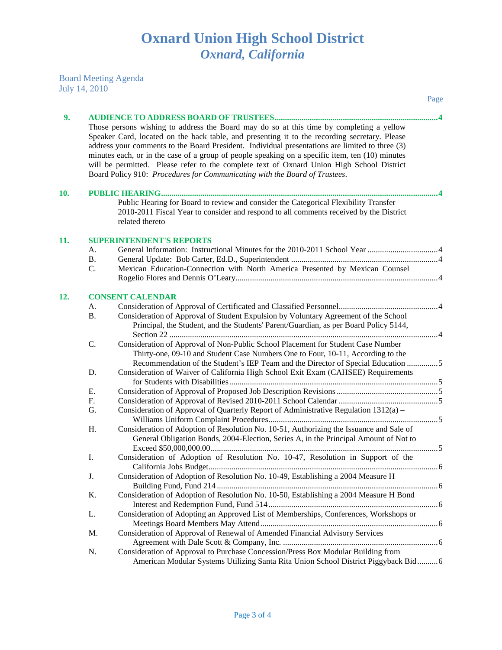## Board Meeting Agenda July 14, 2010

|     |           |                                                                                                                                                                                                                                                                                                                                                                                                                                                                                                                                                                            | Page |
|-----|-----------|----------------------------------------------------------------------------------------------------------------------------------------------------------------------------------------------------------------------------------------------------------------------------------------------------------------------------------------------------------------------------------------------------------------------------------------------------------------------------------------------------------------------------------------------------------------------------|------|
| 9.  |           |                                                                                                                                                                                                                                                                                                                                                                                                                                                                                                                                                                            |      |
|     |           | Those persons wishing to address the Board may do so at this time by completing a yellow<br>Speaker Card, located on the back table, and presenting it to the recording secretary. Please<br>address your comments to the Board President. Individual presentations are limited to three (3)<br>minutes each, or in the case of a group of people speaking on a specific item, ten (10) minutes<br>will be permitted. Please refer to the complete text of Oxnard Union High School District<br>Board Policy 910: Procedures for Communicating with the Board of Trustees. |      |
| 10. |           |                                                                                                                                                                                                                                                                                                                                                                                                                                                                                                                                                                            |      |
|     |           | Public Hearing for Board to review and consider the Categorical Flexibility Transfer<br>2010-2011 Fiscal Year to consider and respond to all comments received by the District<br>related thereto                                                                                                                                                                                                                                                                                                                                                                          |      |
| 11. |           | <b>SUPERINTENDENT'S REPORTS</b>                                                                                                                                                                                                                                                                                                                                                                                                                                                                                                                                            |      |
|     | А.        |                                                                                                                                                                                                                                                                                                                                                                                                                                                                                                                                                                            |      |
|     | Β.        |                                                                                                                                                                                                                                                                                                                                                                                                                                                                                                                                                                            |      |
|     | C.        | Mexican Education-Connection with North America Presented by Mexican Counsel                                                                                                                                                                                                                                                                                                                                                                                                                                                                                               |      |
| 12. |           | <b>CONSENT CALENDAR</b>                                                                                                                                                                                                                                                                                                                                                                                                                                                                                                                                                    |      |
|     | А.        |                                                                                                                                                                                                                                                                                                                                                                                                                                                                                                                                                                            |      |
|     | <b>B.</b> | Consideration of Approval of Student Expulsion by Voluntary Agreement of the School<br>Principal, the Student, and the Students' Parent/Guardian, as per Board Policy 5144,                                                                                                                                                                                                                                                                                                                                                                                                |      |
|     | C.        | Consideration of Approval of Non-Public School Placement for Student Case Number<br>Thirty-one, 09-10 and Student Case Numbers One to Four, 10-11, According to the<br>Recommendation of the Student's IEP Team and the Director of Special Education 5                                                                                                                                                                                                                                                                                                                    |      |
|     | D.        | Consideration of Waiver of California High School Exit Exam (CAHSEE) Requirements                                                                                                                                                                                                                                                                                                                                                                                                                                                                                          |      |
|     | Е.        |                                                                                                                                                                                                                                                                                                                                                                                                                                                                                                                                                                            |      |
|     | F.        |                                                                                                                                                                                                                                                                                                                                                                                                                                                                                                                                                                            |      |
|     | G.        | Consideration of Approval of Quarterly Report of Administrative Regulation 1312(a) –                                                                                                                                                                                                                                                                                                                                                                                                                                                                                       |      |
|     | Η.        | Consideration of Adoption of Resolution No. 10-51, Authorizing the Issuance and Sale of<br>General Obligation Bonds, 2004-Election, Series A, in the Principal Amount of Not to                                                                                                                                                                                                                                                                                                                                                                                            |      |
|     | I.        | Consideration of Adoption of Resolution No. 10-47, Resolution in Support of the                                                                                                                                                                                                                                                                                                                                                                                                                                                                                            |      |
|     | J.        | Consideration of Adoption of Resolution No. 10-49, Establishing a 2004 Measure H                                                                                                                                                                                                                                                                                                                                                                                                                                                                                           |      |
|     | K.        | Consideration of Adoption of Resolution No. 10-50, Establishing a 2004 Measure H Bond                                                                                                                                                                                                                                                                                                                                                                                                                                                                                      |      |
|     | L.        | Consideration of Adopting an Approved List of Memberships, Conferences, Workshops or                                                                                                                                                                                                                                                                                                                                                                                                                                                                                       |      |
|     | M.        | Consideration of Approval of Renewal of Amended Financial Advisory Services                                                                                                                                                                                                                                                                                                                                                                                                                                                                                                |      |
|     | N.        | Consideration of Approval to Purchase Concession/Press Box Modular Building from<br>American Modular Systems Utilizing Santa Rita Union School District Piggyback Bid 6                                                                                                                                                                                                                                                                                                                                                                                                    |      |